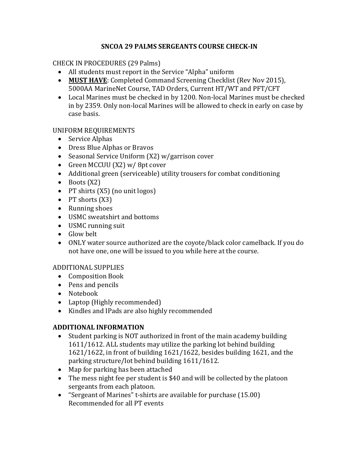### **SNCOA 29 PALMS SERGEANTS COURSE CHECK-IN**

### CHECK IN PROCEDURES (29 Palms)

- All students must report in the Service "Alpha" uniform
- **MUST HAVE**: Completed Command Screening Checklist (Rev Nov 2015), 5000AA MarineNet Course, TAD Orders, Current HT/WT and PFT/CFT
- Local Marines must be checked in by 1200. Non-local Marines must be checked in by 2359. Only non-local Marines will be allowed to check in early on case by case basis.

### UNIFORM REQUIREMENTS

- Service Alphas
- Dress Blue Alphas or Bravos
- Seasonal Service Uniform (X2) w/garrison cover
- Green MCCUU (X2) w/8pt cover
- Additional green (serviceable) utility trousers for combat conditioning
- $\bullet$  Boots (X2)
- PT shirts (X5) (no unit logos)
- $\bullet$  PT shorts  $(X3)$
- Running shoes
- USMC sweatshirt and bottoms
- USMC running suit
- Glow belt
- ONLY water source authorized are the coyote/black color camelback. If you do not have one, one will be issued to you while here at the course.

## ADDITIONAL SUPPLIES

- Composition Book
- Pens and pencils
- Notebook
- Laptop (Highly recommended)
- Kindles and IPads are also highly recommended

# **ADDITIONAL INFORMATION**

- Student parking is NOT authorized in front of the main academy building 1611/1612. ALL students may utilize the parking lot behind building 1621/1622, in front of building 1621/1622, besides building 1621, and the parking structure/lot behind building 1611/1612.
- Map for parking has been attached
- The mess night fee per student is \$40 and will be collected by the platoon sergeants from each platoon.
- "Sergeant of Marines" t-shirts are available for purchase (15.00) Recommended for all PT events